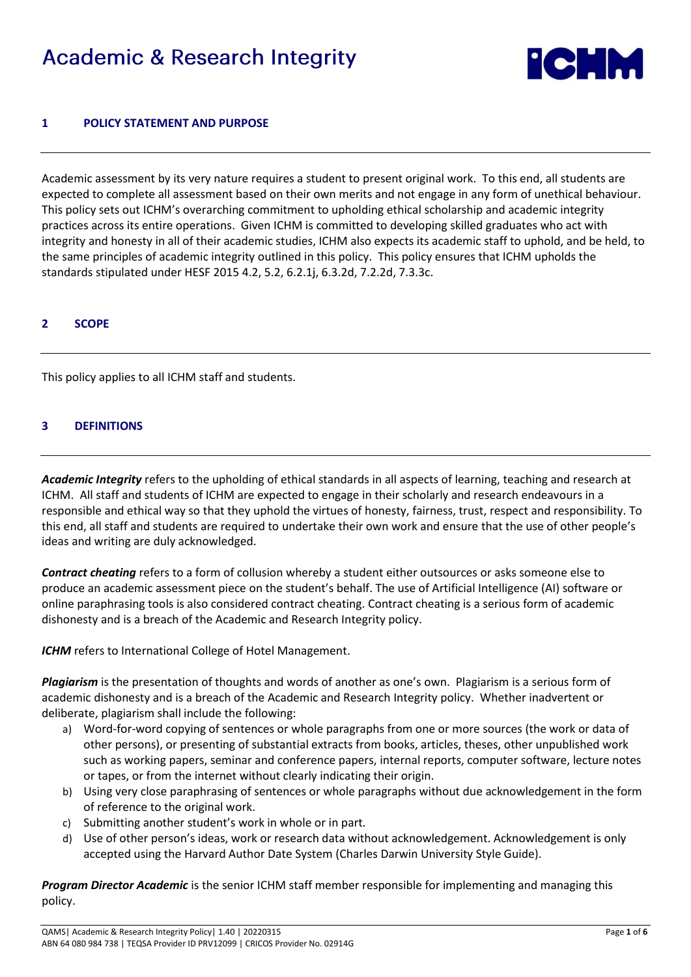# **Academic & Research Integrity**



## **1 POLICY STATEMENT AND PURPOSE**

Academic assessment by its very nature requires a student to present original work. To this end, all students are expected to complete all assessment based on their own merits and not engage in any form of unethical behaviour. This policy sets out ICHM's overarching commitment to upholding ethical scholarship and academic integrity practices across its entire operations. Given ICHM is committed to developing skilled graduates who act with integrity and honesty in all of their academic studies, ICHM also expects its academic staff to uphold, and be held, to the same principles of academic integrity outlined in this policy. This policy ensures that ICHM upholds the standards stipulated under HESF 2015 4.2, 5.2, 6.2.1j, 6.3.2d, 7.2.2d, 7.3.3c.

## **2 SCOPE**

This policy applies to all ICHM staff and students.

## **3 DEFINITIONS**

*Academic Integrity* refers to the upholding of ethical standards in all aspects of learning, teaching and research at ICHM. All staff and students of ICHM are expected to engage in their scholarly and research endeavours in a responsible and ethical way so that they uphold the virtues of honesty, fairness, trust, respect and responsibility. To this end, all staff and students are required to undertake their own work and ensure that the use of other people's ideas and writing are duly acknowledged.

*Contract cheating* refers to a form of collusion whereby a student either outsources or asks someone else to produce an academic assessment piece on the student's behalf. The use of Artificial Intelligence (AI) software or online paraphrasing tools is also considered contract cheating. Contract cheating is a serious form of academic dishonesty and is a breach of the Academic and Research Integrity policy.

**ICHM** refers to International College of Hotel Management.

*Plagiarism* is the presentation of thoughts and words of another as one's own. Plagiarism is a serious form of academic dishonesty and is a breach of the Academic and Research Integrity policy. Whether inadvertent or deliberate, plagiarism shall include the following:

- a) Word-for-word copying of sentences or whole paragraphs from one or more sources (the work or data of other persons), or presenting of substantial extracts from books, articles, theses, other unpublished work such as working papers, seminar and conference papers, internal reports, computer software, lecture notes or tapes, or from the internet without clearly indicating their origin.
- b) Using very close paraphrasing of sentences or whole paragraphs without due acknowledgement in the form of reference to the original work.
- c) Submitting another student's work in whole or in part.
- d) Use of other person's ideas, work or research data without acknowledgement. Acknowledgement is only accepted using the Harvard Author Date System (Charles Darwin University Style Guide).

*Program Director Academic* is the senior ICHM staff member responsible for implementing and managing this policy.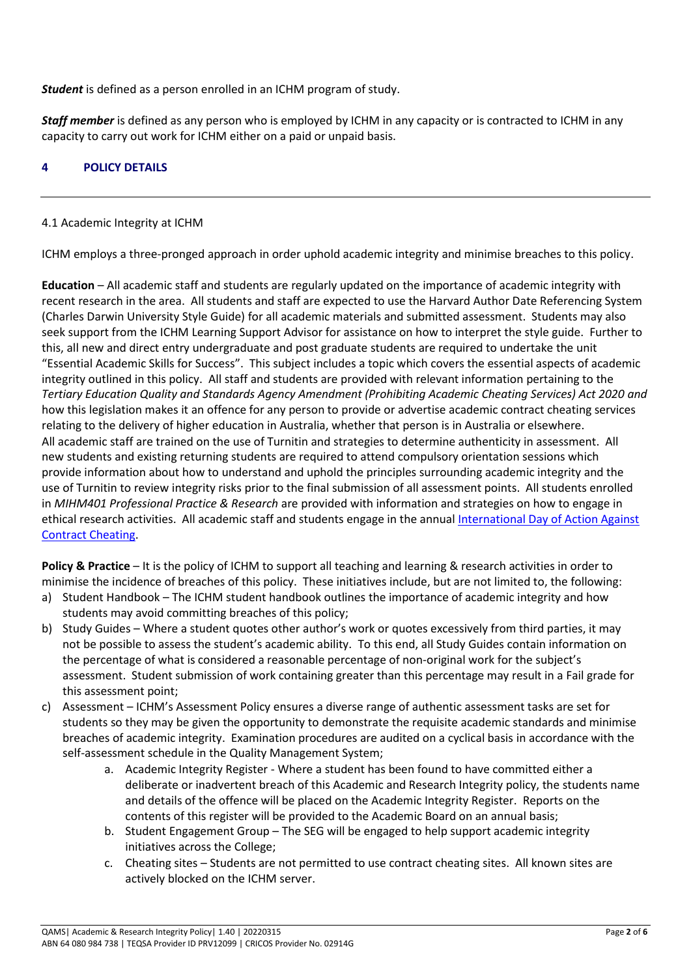*Student* is defined as a person enrolled in an ICHM program of study.

*Staff member* is defined as any person who is employed by ICHM in any capacity or is contracted to ICHM in any capacity to carry out work for ICHM either on a paid or unpaid basis.

## **4 POLICY DETAILS**

## 4.1 Academic Integrity at ICHM

ICHM employs a three-pronged approach in order uphold academic integrity and minimise breaches to this policy.

**Education** – All academic staff and students are regularly updated on the importance of academic integrity with recent research in the area. All students and staff are expected to use the Harvard Author Date Referencing System (Charles Darwin University Style Guide) for all academic materials and submitted assessment. Students may also seek support from the ICHM Learning Support Advisor for assistance on how to interpret the style guide. Further to this, all new and direct entry undergraduate and post graduate students are required to undertake the unit "Essential Academic Skills for Success". This subject includes a topic which covers the essential aspects of academic integrity outlined in this policy. All staff and students are provided with relevant information pertaining to the *Tertiary Education Quality and Standards Agency Amendment (Prohibiting Academic Cheating Services) Act 2020 and* how this legislation makes it an offence for any person to provide or advertise academic contract cheating services relating to the delivery of higher education in Australia, whether that person is in Australia or elsewhere. All academic staff are trained on the use of Turnitin and strategies to determine authenticity in assessment. All new students and existing returning students are required to attend compulsory orientation sessions which provide information about how to understand and uphold the principles surrounding academic integrity and the use of Turnitin to review integrity risks prior to the final submission of all assessment points. All students enrolled in *MIHM401 Professional Practice & Research* are provided with information and strategies on how to engage in ethical research activities. All academic staff and students engage in the annual International Day of Action Against [Contract Cheating.](https://academicintegrity.org/events-conferences/idoa-international-day-of-action-against-contract-cheating)

**Policy & Practice** – It is the policy of ICHM to support all teaching and learning & research activities in order to minimise the incidence of breaches of this policy. These initiatives include, but are not limited to, the following:

- a) Student Handbook The ICHM student handbook outlines the importance of academic integrity and how students may avoid committing breaches of this policy;
- b) Study Guides Where a student quotes other author's work or quotes excessively from third parties, it may not be possible to assess the student's academic ability. To this end, all Study Guides contain information on the percentage of what is considered a reasonable percentage of non-original work for the subject's assessment. Student submission of work containing greater than this percentage may result in a Fail grade for this assessment point;
- c) Assessment ICHM's Assessment Policy ensures a diverse range of authentic assessment tasks are set for students so they may be given the opportunity to demonstrate the requisite academic standards and minimise breaches of academic integrity. Examination procedures are audited on a cyclical basis in accordance with the self-assessment schedule in the Quality Management System;
	- a. Academic Integrity Register Where a student has been found to have committed either a deliberate or inadvertent breach of this Academic and Research Integrity policy, the students name and details of the offence will be placed on the Academic Integrity Register. Reports on the contents of this register will be provided to the Academic Board on an annual basis;
	- b. Student Engagement Group The SEG will be engaged to help support academic integrity initiatives across the College;
	- c. Cheating sites Students are not permitted to use contract cheating sites. All known sites are actively blocked on the ICHM server.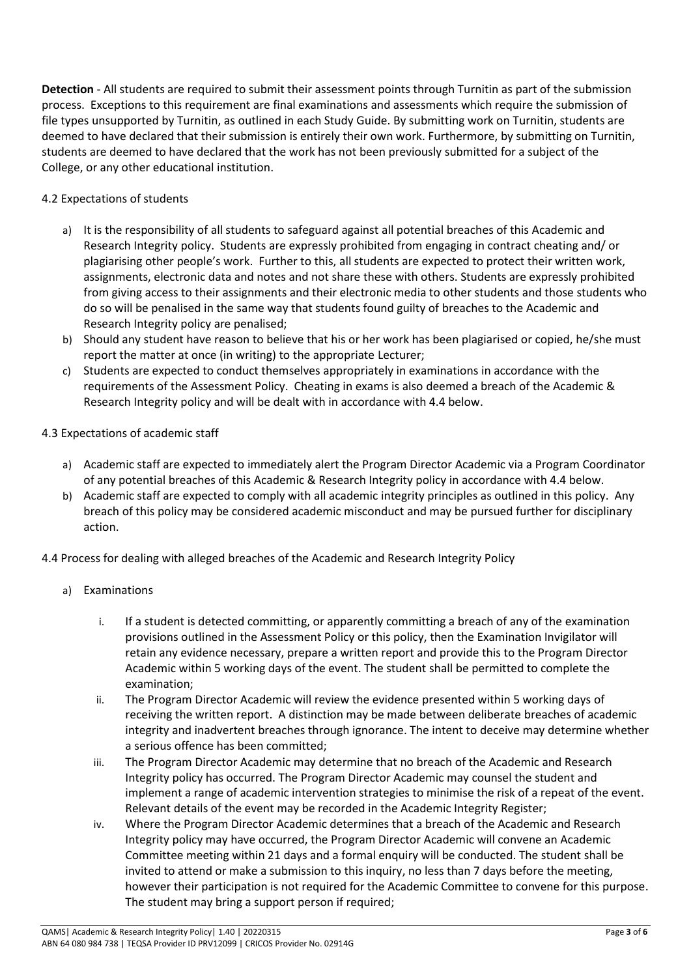**Detection** - All students are required to submit their assessment points through Turnitin as part of the submission process. Exceptions to this requirement are final examinations and assessments which require the submission of file types unsupported by Turnitin, as outlined in each Study Guide. By submitting work on Turnitin, students are deemed to have declared that their submission is entirely their own work. Furthermore, by submitting on Turnitin, students are deemed to have declared that the work has not been previously submitted for a subject of the College, or any other educational institution.

## 4.2 Expectations of students

- a) It is the responsibility of all students to safeguard against all potential breaches of this Academic and Research Integrity policy. Students are expressly prohibited from engaging in contract cheating and/ or plagiarising other people's work. Further to this, all students are expected to protect their written work, assignments, electronic data and notes and not share these with others. Students are expressly prohibited from giving access to their assignments and their electronic media to other students and those students who do so will be penalised in the same way that students found guilty of breaches to the Academic and Research Integrity policy are penalised;
- b) Should any student have reason to believe that his or her work has been plagiarised or copied, he/she must report the matter at once (in writing) to the appropriate Lecturer;
- c) Students are expected to conduct themselves appropriately in examinations in accordance with the requirements of the Assessment Policy. Cheating in exams is also deemed a breach of the Academic & Research Integrity policy and will be dealt with in accordance with 4.4 below.

## 4.3 Expectations of academic staff

- a) Academic staff are expected to immediately alert the Program Director Academic via a Program Coordinator of any potential breaches of this Academic & Research Integrity policy in accordance with 4.4 below.
- b) Academic staff are expected to comply with all academic integrity principles as outlined in this policy. Any breach of this policy may be considered academic misconduct and may be pursued further for disciplinary action.
- 4.4 Process for dealing with alleged breaches of the Academic and Research Integrity Policy
	- a) Examinations
		- i. If a student is detected committing, or apparently committing a breach of any of the examination provisions outlined in the Assessment Policy or this policy, then the Examination Invigilator will retain any evidence necessary, prepare a written report and provide this to the Program Director Academic within 5 working days of the event. The student shall be permitted to complete the examination;
		- ii. The Program Director Academic will review the evidence presented within 5 working days of receiving the written report. A distinction may be made between deliberate breaches of academic integrity and inadvertent breaches through ignorance. The intent to deceive may determine whether a serious offence has been committed;
		- iii. The Program Director Academic may determine that no breach of the Academic and Research Integrity policy has occurred. The Program Director Academic may counsel the student and implement a range of academic intervention strategies to minimise the risk of a repeat of the event. Relevant details of the event may be recorded in the Academic Integrity Register;
		- iv. Where the Program Director Academic determines that a breach of the Academic and Research Integrity policy may have occurred, the Program Director Academic will convene an Academic Committee meeting within 21 days and a formal enquiry will be conducted. The student shall be invited to attend or make a submission to this inquiry, no less than 7 days before the meeting, however their participation is not required for the Academic Committee to convene for this purpose. The student may bring a support person if required;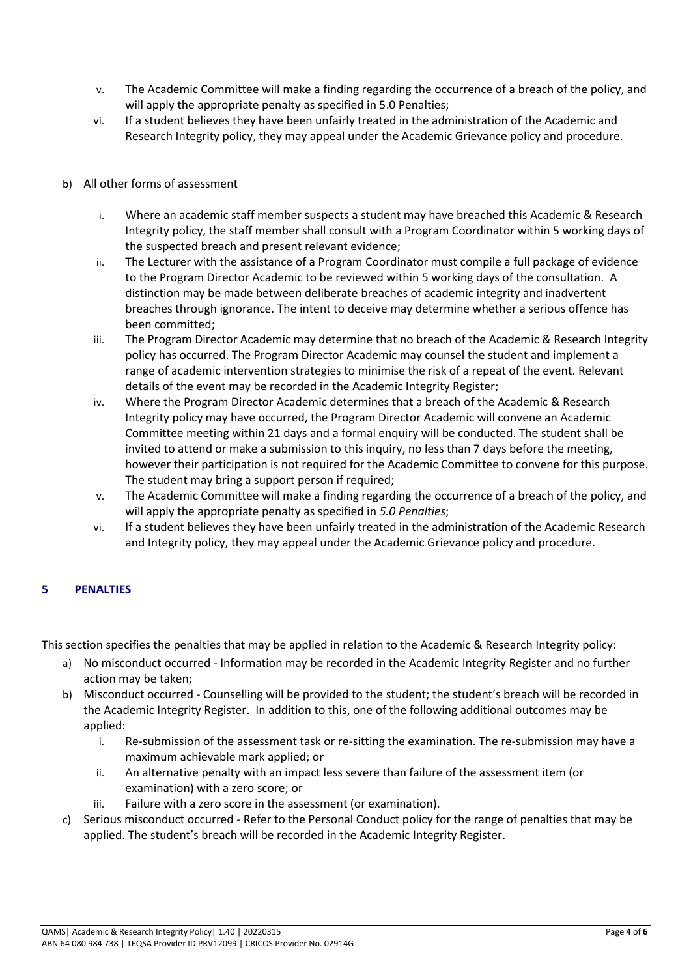- v. The Academic Committee will make a finding regarding the occurrence of a breach of the policy, and will apply the appropriate penalty as specified in 5.0 Penalties;
- vi. If a student believes they have been unfairly treated in the administration of the Academic and Research Integrity policy, they may appeal under the Academic Grievance policy and procedure.
- b) All other forms of assessment
	- i. Where an academic staff member suspects a student may have breached this Academic & Research Integrity policy, the staff member shall consult with a Program Coordinator within 5 working days of the suspected breach and present relevant evidence;
	- ii. The Lecturer with the assistance of a Program Coordinator must compile a full package of evidence to the Program Director Academic to be reviewed within 5 working days of the consultation. A distinction may be made between deliberate breaches of academic integrity and inadvertent breaches through ignorance. The intent to deceive may determine whether a serious offence has been committed;
	- iii. The Program Director Academic may determine that no breach of the Academic & Research Integrity policy has occurred. The Program Director Academic may counsel the student and implement a range of academic intervention strategies to minimise the risk of a repeat of the event. Relevant details of the event may be recorded in the Academic Integrity Register;
	- iv. Where the Program Director Academic determines that a breach of the Academic & Research Integrity policy may have occurred, the Program Director Academic will convene an Academic Committee meeting within 21 days and a formal enquiry will be conducted. The student shall be invited to attend or make a submission to this inquiry, no less than 7 days before the meeting, however their participation is not required for the Academic Committee to convene for this purpose. The student may bring a support person if required;
	- v. The Academic Committee will make a finding regarding the occurrence of a breach of the policy, and will apply the appropriate penalty as specified in *5.0 Penalties*;
	- vi. If a student believes they have been unfairly treated in the administration of the Academic Research and Integrity policy, they may appeal under the Academic Grievance policy and procedure.

# **5 PENALTIES**

This section specifies the penalties that may be applied in relation to the Academic & Research Integrity policy:

- a) No misconduct occurred Information may be recorded in the Academic Integrity Register and no further action may be taken;
- b) Misconduct occurred Counselling will be provided to the student; the student's breach will be recorded in the Academic Integrity Register. In addition to this, one of the following additional outcomes may be applied:
	- i. Re-submission of the assessment task or re-sitting the examination. The re-submission may have a maximum achievable mark applied; or
	- ii. An alternative penalty with an impact less severe than failure of the assessment item (or examination) with a zero score; or
	- iii. Failure with a zero score in the assessment (or examination).
- c) Serious misconduct occurred Refer to the Personal Conduct policy for the range of penalties that may be applied. The student's breach will be recorded in the Academic Integrity Register.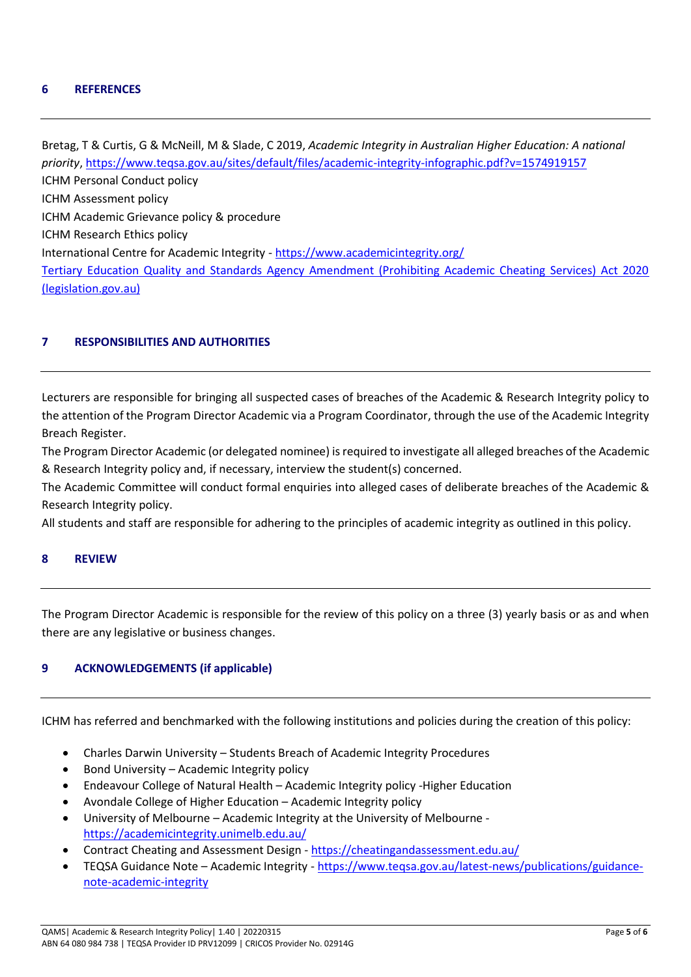#### **6 REFERENCES**

Bretag, T & Curtis, G & McNeill, M & Slade, C 2019, *Academic Integrity in Australian Higher Education: A national priority*[, https://www.teqsa.gov.au/sites/default/files/academic-integrity-infographic.pdf?v=1574919157](https://www.teqsa.gov.au/sites/default/files/academic-integrity-infographic.pdf?v=1574919157) ICHM Personal Conduct policy ICHM Assessment policy ICHM Academic Grievance policy & procedure ICHM Research Ethics policy International Centre for Academic Integrity - <https://www.academicintegrity.org/> [Tertiary Education Quality and Standards Agency Amendment \(Prohibiting Academic Cheating Services\) Act 2020](https://www.legislation.gov.au/Details/C2020A00078)  [\(legislation.gov.au\)](https://www.legislation.gov.au/Details/C2020A00078)

#### **7 RESPONSIBILITIES AND AUTHORITIES**

Lecturers are responsible for bringing all suspected cases of breaches of the Academic & Research Integrity policy to the attention of the Program Director Academic via a Program Coordinator, through the use of the Academic Integrity Breach Register.

The Program Director Academic (or delegated nominee) is required to investigate all alleged breaches of the Academic & Research Integrity policy and, if necessary, interview the student(s) concerned.

The Academic Committee will conduct formal enquiries into alleged cases of deliberate breaches of the Academic & Research Integrity policy.

All students and staff are responsible for adhering to the principles of academic integrity as outlined in this policy.

#### **8 REVIEW**

The Program Director Academic is responsible for the review of this policy on a three (3) yearly basis or as and when there are any legislative or business changes.

## **9 ACKNOWLEDGEMENTS (if applicable)**

ICHM has referred and benchmarked with the following institutions and policies during the creation of this policy:

- Charles Darwin University Students Breach of Academic Integrity Procedures
- Bond University Academic Integrity policy
- Endeavour College of Natural Health Academic Integrity policy -Higher Education
- Avondale College of Higher Education Academic Integrity policy
- University of Melbourne Academic Integrity at the University of Melbourne <https://academicintegrity.unimelb.edu.au/>
- Contract Cheating and Assessment Design <https://cheatingandassessment.edu.au/>
- TEQSA Guidance Note Academic Integrity [https://www.teqsa.gov.au/latest-news/publications/guidance](https://www.teqsa.gov.au/latest-news/publications/guidance-note-academic-integrity)[note-academic-integrity](https://www.teqsa.gov.au/latest-news/publications/guidance-note-academic-integrity)